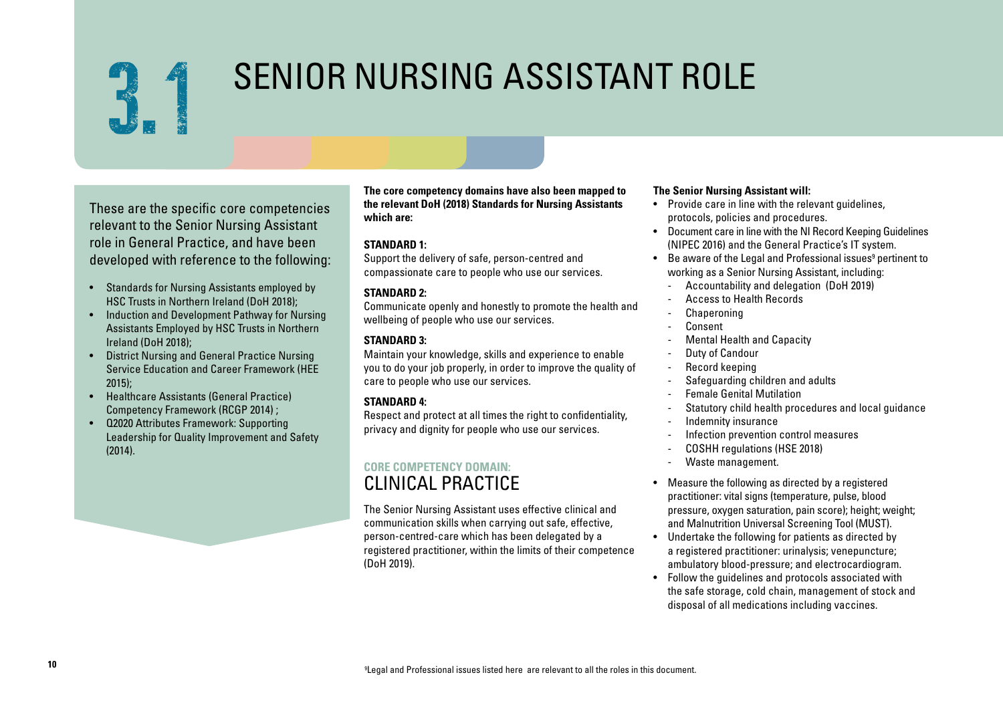

# SENIOR NURSING ASSISTANT ROLE

These are the specific core competencies relevant to the Senior Nursing Assistant role in General Practice, and have been developed with reference to the following:

- Standards for Nursing Assistants employed by HSC Trusts in Northern Ireland (DoH 2018);
- Induction and Development Pathway for Nursing Assistants Employed by HSC Trusts in Northern Ireland (DoH 2018);
- District Nursing and General Practice Nursing Service Education and Career Framework (HEE  $2015$
- Healthcare Assistants (General Practice) Competency Framework (RCGP 2014) ;
- Q2020 Attributes Framework: Supporting Leadership for Quality Improvement and Safety (2014).

**The core competency domains have also been mapped to the relevant DoH (2018) Standards for Nursing Assistants which are:** 

#### **STANDARD 1:**

Support the delivery of safe, person-centred and compassionate care to people who use our services.

## **STANDARD 2:**

Communicate openly and honestly to promote the health and wellbeing of people who use our services.

## **STANDARD 3:**

Maintain your knowledge, skills and experience to enable you to do your job properly, in order to improve the quality of care to people who use our services.

## **STANDARD 4:**

Respect and protect at all times the right to confidentiality, privacy and dignity for people who use our services.

## **CORE COMPETENCY DOMAIN:**  CLINICAL PRACTICE

The Senior Nursing Assistant uses effective clinical and communication skills when carrying out safe, effective, person-centred-care which has been delegated by a registered practitioner, within the limits of their competence (DoH 2019).

#### **The Senior Nursing Assistant will:**

- Provide care in line with the relevant guidelines, protocols, policies and procedures.
- Document care in line with the NI Record Keeping Guidelines (NIPEC 2016) and the General Practice's IT system.
- $\bullet$  Be aware of the Legal and Professional issues $^{\rm 9}$  pertinent to working as a Senior Nursing Assistant, including:
	- Accountability and delegation (DoH 2019)
	- Access to Health Records
	- **Chaperoning**
	- **Consent**
	- Mental Health and Capacity
	- Duty of Candour
	- Record keeping
	- Safequarding children and adults
	- Female Genital Mutilation
	- Statutory child health procedures and local guidance
	- Indemnity insurance
	- Infection prevention control measures
	- COSHH regulations (HSE 2018)
	- Waste management.
- Measure the following as directed by a registered practitioner: vital signs (temperature, pulse, blood pressure, oxygen saturation, pain score); height; weight; and Malnutrition Universal Screening Tool (MUST).
- Undertake the following for patients as directed by a registered practitioner: urinalysis; venepuncture; ambulatory blood-pressure; and electrocardiogram.
- Follow the guidelines and protocols associated with the safe storage, cold chain, management of stock and disposal of all medications including vaccines.